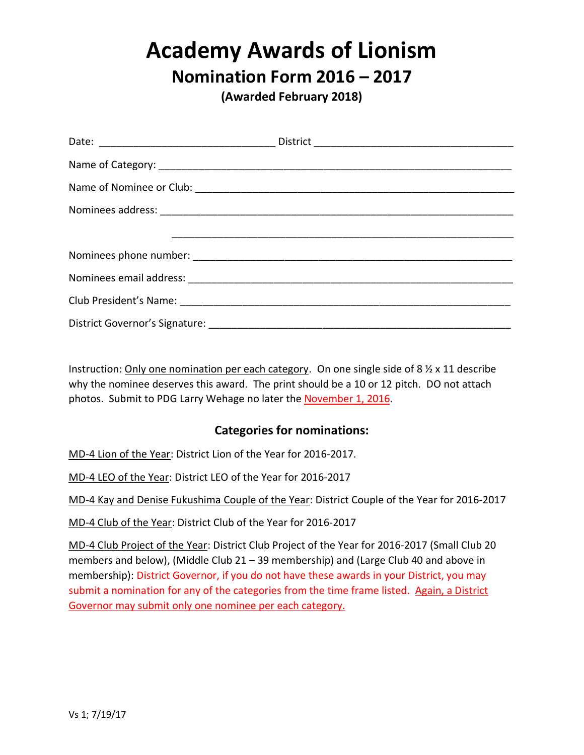# **Academy Awards of Lionism**

# **Nomination Form 2016 – 2017**

**(Awarded February 2018)**

Instruction: Only one nomination per each category. On one single side of 8 ½ x 11 describe why the nominee deserves this award. The print should be a 10 or 12 pitch. DO not attach photos. Submit to PDG Larry Wehage no later the November 1, 2016.

#### **Categories for nominations:**

MD-4 Lion of the Year: District Lion of the Year for 2016-2017.

MD-4 LEO of the Year: District LEO of the Year for 2016-2017

MD-4 Kay and Denise Fukushima Couple of the Year: District Couple of the Year for 2016-2017

MD-4 Club of the Year: District Club of the Year for 2016-2017

MD-4 Club Project of the Year: District Club Project of the Year for 2016-2017 (Small Club 20 members and below), (Middle Club 21 – 39 membership) and (Large Club 40 and above in membership): District Governor, if you do not have these awards in your District, you may submit a nomination for any of the categories from the time frame listed. Again, a District Governor may submit only one nominee per each category.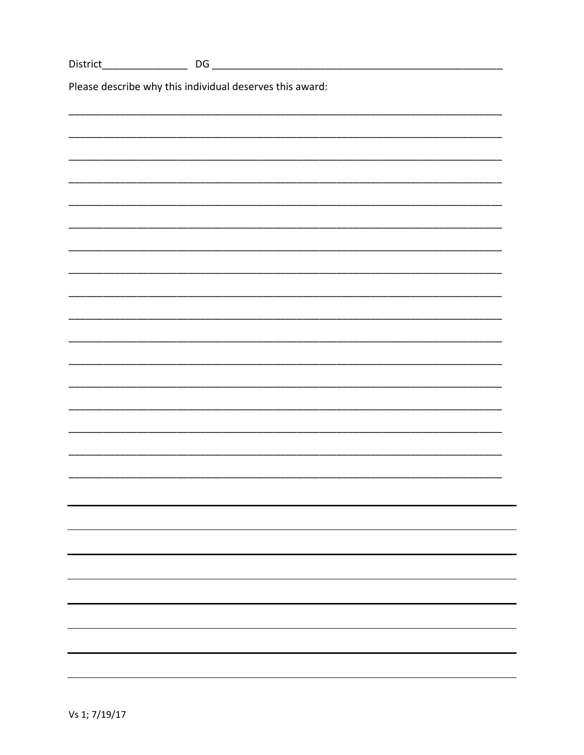| District                                                 |  |  |
|----------------------------------------------------------|--|--|
| Please describe why this individual deserves this award: |  |  |
|                                                          |  |  |
|                                                          |  |  |
|                                                          |  |  |
|                                                          |  |  |
|                                                          |  |  |
|                                                          |  |  |
|                                                          |  |  |
|                                                          |  |  |
|                                                          |  |  |
|                                                          |  |  |
|                                                          |  |  |
|                                                          |  |  |
|                                                          |  |  |
|                                                          |  |  |
|                                                          |  |  |
|                                                          |  |  |
|                                                          |  |  |
|                                                          |  |  |
|                                                          |  |  |
|                                                          |  |  |
|                                                          |  |  |
|                                                          |  |  |
|                                                          |  |  |
|                                                          |  |  |
|                                                          |  |  |
|                                                          |  |  |
|                                                          |  |  |
|                                                          |  |  |
|                                                          |  |  |
|                                                          |  |  |
|                                                          |  |  |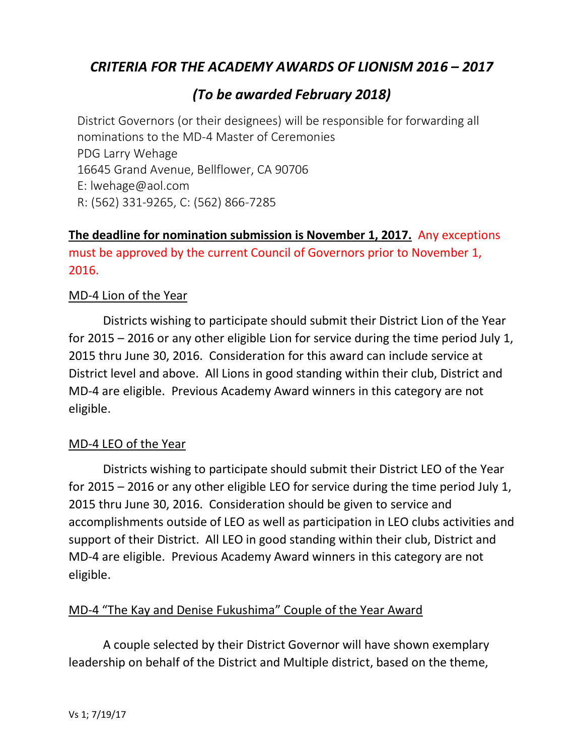# *CRITERIA FOR THE ACADEMY AWARDS OF LIONISM 2016 – 2017*

# *(To be awarded February 2018)*

District Governors (or their designees) will be responsible for forwarding all nominations to the MD-4 Master of Ceremonies PDG Larry Wehage 16645 Grand Avenue, Bellflower, CA 90706 E: lwehage@aol.com R: (562) 331-9265, C: (562) 866-7285

## **The deadline for nomination submission is November 1, 2017.** Any exceptions must be approved by the current Council of Governors prior to November 1, 2016.

#### MD-4 Lion of the Year

Districts wishing to participate should submit their District Lion of the Year for 2015 – 2016 or any other eligible Lion for service during the time period July 1, 2015 thru June 30, 2016. Consideration for this award can include service at District level and above. All Lions in good standing within their club, District and MD-4 are eligible. Previous Academy Award winners in this category are not eligible.

#### MD-4 LEO of the Year

Districts wishing to participate should submit their District LEO of the Year for 2015 – 2016 or any other eligible LEO for service during the time period July 1, 2015 thru June 30, 2016. Consideration should be given to service and accomplishments outside of LEO as well as participation in LEO clubs activities and support of their District. All LEO in good standing within their club, District and MD-4 are eligible. Previous Academy Award winners in this category are not eligible.

#### MD-4 "The Kay and Denise Fukushima" Couple of the Year Award

A couple selected by their District Governor will have shown exemplary leadership on behalf of the District and Multiple district, based on the theme,